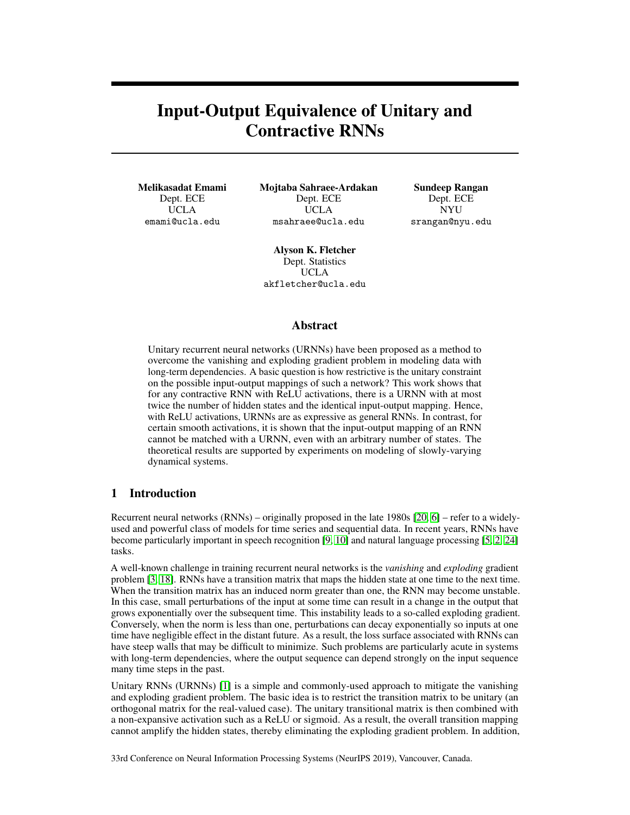# Input-Output Equivalence of Unitary and Contractive RNNs

Melikasadat Emami Dept. ECE UCLA emami@ucla.edu

Mojtaba Sahraee-Ardakan Dept. ECE UCLA msahraee@ucla.edu

Sundeep Rangan Dept. ECE NYU srangan@nyu.edu

Alyson K. Fletcher Dept. Statistics UCLA akfletcher@ucla.edu

## Abstract

Unitary recurrent neural networks (URNNs) have been proposed as a method to overcome the vanishing and exploding gradient problem in modeling data with long-term dependencies. A basic question is how restrictive is the unitary constraint on the possible input-output mappings of such a network? This work shows that for any contractive RNN with ReLU activations, there is a URNN with at most twice the number of hidden states and the identical input-output mapping. Hence, with ReLU activations, URNNs are as expressive as general RNNs. In contrast, for certain smooth activations, it is shown that the input-output mapping of an RNN cannot be matched with a URNN, even with an arbitrary number of states. The theoretical results are supported by experiments on modeling of slowly-varying dynamical systems.

## 1 Introduction

Recurrent neural networks (RNNs) – originally proposed in the late 1980s [20, 6] – refer to a widelyused and powerful class of models for time series and sequential data. In recent years, RNNs have become particularly important in speech recognition [9, 10] and natural language processing [5, 2, 24] tasks.

A well-known challenge in training recurrent neural networks is the *vanishing* and *exploding* gradient problem [3, 18]. RNNs have a transition matrix that maps the hidden state at one time to the next time. When the transition matrix has an induced norm greater than one, the RNN may become unstable. In this case, small perturbations of the input at some time can result in a change in the output that grows exponentially over the subsequent time. This instability leads to a so-called exploding gradient. Conversely, when the norm is less than one, perturbations can decay exponentially so inputs at one time have negligible effect in the distant future. As a result, the loss surface associated with RNNs can have steep walls that may be difficult to minimize. Such problems are particularly acute in systems with long-term dependencies, where the output sequence can depend strongly on the input sequence many time steps in the past.

Unitary RNNs (URNNs) [1] is a simple and commonly-used approach to mitigate the vanishing and exploding gradient problem. The basic idea is to restrict the transition matrix to be unitary (an orthogonal matrix for the real-valued case). The unitary transitional matrix is then combined with a non-expansive activation such as a ReLU or sigmoid. As a result, the overall transition mapping cannot amplify the hidden states, thereby eliminating the exploding gradient problem. In addition,

33rd Conference on Neural Information Processing Systems (NeurIPS 2019), Vancouver, Canada.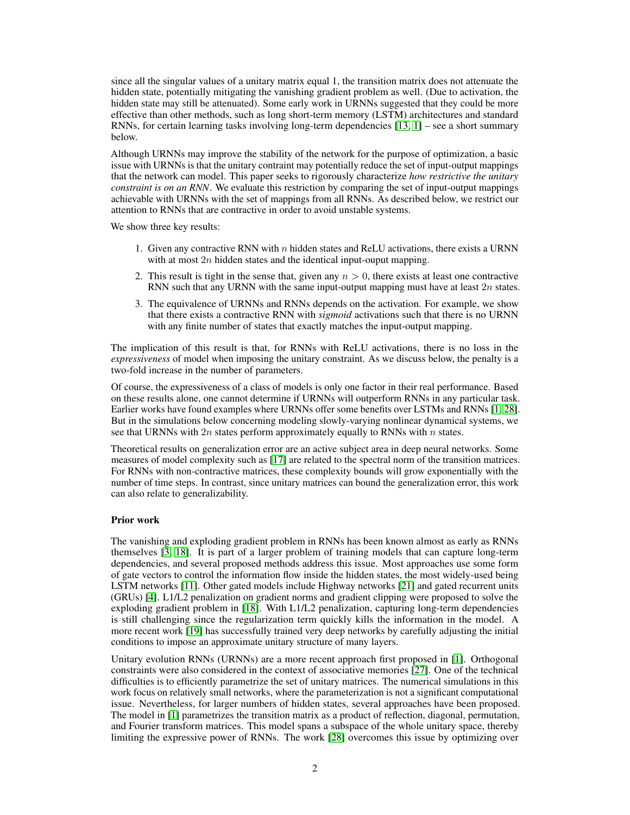since all the singular values of a unitary matrix equal 1, the transition matrix does not attenuate the hidden state, potentially mitigating the vanishing gradient problem as well. (Due to activation, the hidden state may still be attenuated). Some early work in URNNs suggested that they could be more effective than other methods, such as long short-term memory (LSTM) architectures and standard RNNs, for certain learning tasks involving long-term dependencies [13, 1] – see a short summary below.

Although URNNs may improve the stability of the network for the purpose of optimization, a basic issue with URNNs is that the unitary contraint may potentially reduce the set of input-output mappings that the network can model. This paper seeks to rigorously characterize *how restrictive the unitary constraint is on an RNN*. We evaluate this restriction by comparing the set of input-output mappings achievable with URNNs with the set of mappings from all RNNs. As described below, we restrict our attention to RNNs that are contractive in order to avoid unstable systems.

We show three key results:

- 1. Given any contractive RNN with  $n$  hidden states and ReLU activations, there exists a URNN with at most  $2n$  hidden states and the identical input-ouput mapping.
- 2. This result is tight in the sense that, given any  $n > 0$ , there exists at least one contractive RNN such that any URNN with the same input-output mapping must have at least  $2n$  states.
- 3. The equivalence of URNNs and RNNs depends on the activation. For example, we show that there exists a contractive RNN with *sigmoid* activations such that there is no URNN with any finite number of states that exactly matches the input-output mapping.

The implication of this result is that, for RNNs with ReLU activations, there is no loss in the *expressiveness* of model when imposing the unitary constraint. As we discuss below, the penalty is a two-fold increase in the number of parameters.

Of course, the expressiveness of a class of models is only one factor in their real performance. Based on these results alone, one cannot determine if URNNs will outperform RNNs in any particular task. Earlier works have found examples where URNNs offer some benefits over LSTMs and RNNs [1, 28]. But in the simulations below concerning modeling slowly-varying nonlinear dynamical systems, we see that URNNs with  $2n$  states perform approximately equally to RNNs with n states.

Theoretical results on generalization error are an active subject area in deep neural networks. Some measures of model complexity such as [17] are related to the spectral norm of the transition matrices. For RNNs with non-contractive matrices, these complexity bounds will grow exponentially with the number of time steps. In contrast, since unitary matrices can bound the generalization error, this work can also relate to generalizability.

#### Prior work

The vanishing and exploding gradient problem in RNNs has been known almost as early as RNNs themselves [3, 18]. It is part of a larger problem of training models that can capture long-term dependencies, and several proposed methods address this issue. Most approaches use some form of gate vectors to control the information flow inside the hidden states, the most widely-used being LSTM networks [11]. Other gated models include Highway networks [21] and gated recurrent units (GRUs) [4]. L1/L2 penalization on gradient norms and gradient clipping were proposed to solve the exploding gradient problem in [18]. With L1/L2 penalization, capturing long-term dependencies is still challenging since the regularization term quickly kills the information in the model. A more recent work [19] has successfully trained very deep networks by carefully adjusting the initial conditions to impose an approximate unitary structure of many layers.

Unitary evolution RNNs (URNNs) are a more recent approach first proposed in [1]. Orthogonal constraints were also considered in the context of associative memories [27]. One of the technical difficulties is to efficiently parametrize the set of unitary matrices. The numerical simulations in this work focus on relatively small networks, where the parameterization is not a significant computational issue. Nevertheless, for larger numbers of hidden states, several approaches have been proposed. The model in [1] parametrizes the transition matrix as a product of reflection, diagonal, permutation, and Fourier transform matrices. This model spans a subspace of the whole unitary space, thereby limiting the expressive power of RNNs. The work [28] overcomes this issue by optimizing over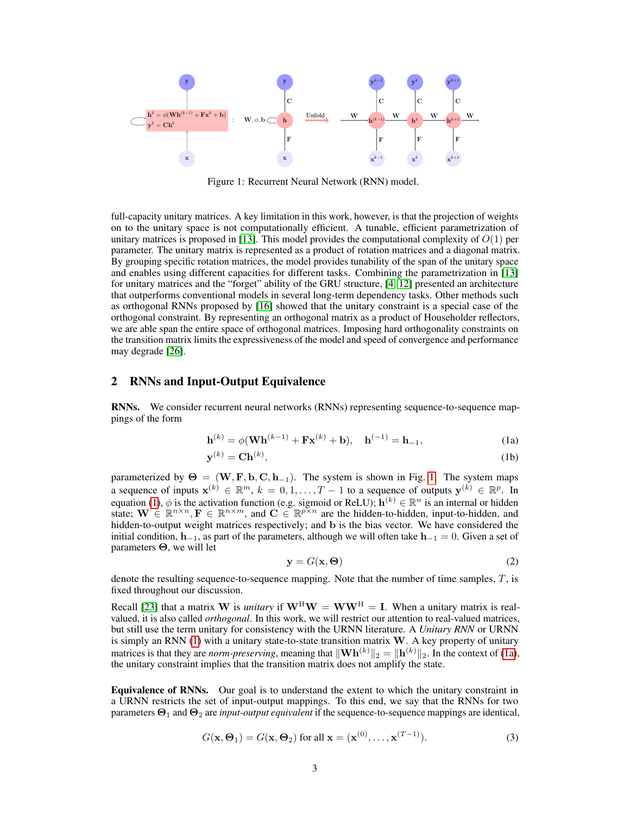

Figure 1: Recurrent Neural Network (RNN) model.

full-capacity unitary matrices. A key limitation in this work, however, is that the projection of weights on to the unitary space is not computationally efficient. A tunable, efficient parametrization of unitary matrices is proposed in [13]. This model provides the computational complexity of  $O(1)$  per parameter. The unitary matrix is represented as a product of rotation matrices and a diagonal matrix. By grouping specific rotation matrices, the model provides tunability of the span of the unitary space and enables using different capacities for different tasks. Combining the parametrization in [13] for unitary matrices and the "forget" ability of the GRU structure, [4, 12] presented an architecture that outperforms conventional models in several long-term dependency tasks. Other methods such as orthogonal RNNs proposed by [16] showed that the unitary constraint is a special case of the orthogonal constraint. By representing an orthogonal matrix as a product of Householder reflectors, we are able span the entire space of orthogonal matrices. Imposing hard orthogonality constraints on the transition matrix limits the expressiveness of the model and speed of convergence and performance may degrade [26].

# 2 RNNs and Input-Output Equivalence

RNNs. We consider recurrent neural networks (RNNs) representing sequence-to-sequence mappings of the form

$$
\mathbf{h}^{(k)} = \phi(\mathbf{W}\mathbf{h}^{(k-1)} + \mathbf{F}\mathbf{x}^{(k)} + \mathbf{b}), \quad \mathbf{h}^{(-1)} = \mathbf{h}_{-1},
$$
 (1a)

$$
\mathbf{y}^{(k)} = \mathbf{Ch}^{(k)},\tag{1b}
$$

parameterized by  $\Theta = (\mathbf{W}, \mathbf{F}, \mathbf{b}, \mathbf{C}, \mathbf{h}_{-1})$ . The system is shown in Fig. 1. The system maps a sequence of inputs  $\mathbf{x}^{(k)} \in \mathbb{R}^m$ ,  $k = 0, 1, ..., T - 1$  to a sequence of outputs  $\mathbf{y}^{(k)} \in \mathbb{R}^p$ . In equation (1),  $\phi$  is the activation function (e.g. sigmoid or ReLU);  $\mathbf{h}^{(k)} \in \mathbb{R}^n$  is an internal or hidden state;  $\mathbf{W} \in \mathbb{R}^{n \times n}$ ,  $\mathbf{F} \in \mathbb{R}^{n \times m}$ , and  $\mathbf{C} \in \mathbb{R}^{p \times n}$  are the hidden-to-hidden, input-to-hidden, and hidden-to-output weight matrices respectively; and b is the bias vector. We have considered the initial condition,  $h_{-1}$ , as part of the parameters, although we will often take  $h_{-1} = 0$ . Given a set of parameters Θ, we will let

$$
y = G(x, \Theta) \tag{2}
$$

denote the resulting sequence-to-sequence mapping. Note that the number of time samples,  $T$ , is fixed throughout our discussion.

Recall [23] that a matrix W is *unitary* if  $W^H W = WW^H = I$ . When a unitary matrix is realvalued, it is also called *orthogonal*. In this work, we will restrict our attention to real-valued matrices, but still use the term unitary for consistency with the URNN literature. A *Unitary RNN* or URNN is simply an RNN  $(1)$  with a unitary state-to-state transition matrix  $W$ . A key property of unitary matrices is that they are *norm-preserving*, meaning that  $\|\mathbf{Wh}^{(k)}\|_2 = \|\mathbf{h}^{(k)}\|_2$ . In the context of (1a), the unitary constraint implies that the transition matrix does not amplify the state.

Equivalence of RNNs. Our goal is to understand the extent to which the unitary constraint in a URNN restricts the set of input-output mappings. To this end, we say that the RNNs for two parameters  $\Theta_1$  and  $\Theta_2$  are *input-output equivalent* if the sequence-to-sequence mappings are identical,

$$
G(\mathbf{x}, \Theta_1) = G(\mathbf{x}, \Theta_2) \text{ for all } \mathbf{x} = (\mathbf{x}^{(0)}, \dots, \mathbf{x}^{(T-1)}). \tag{3}
$$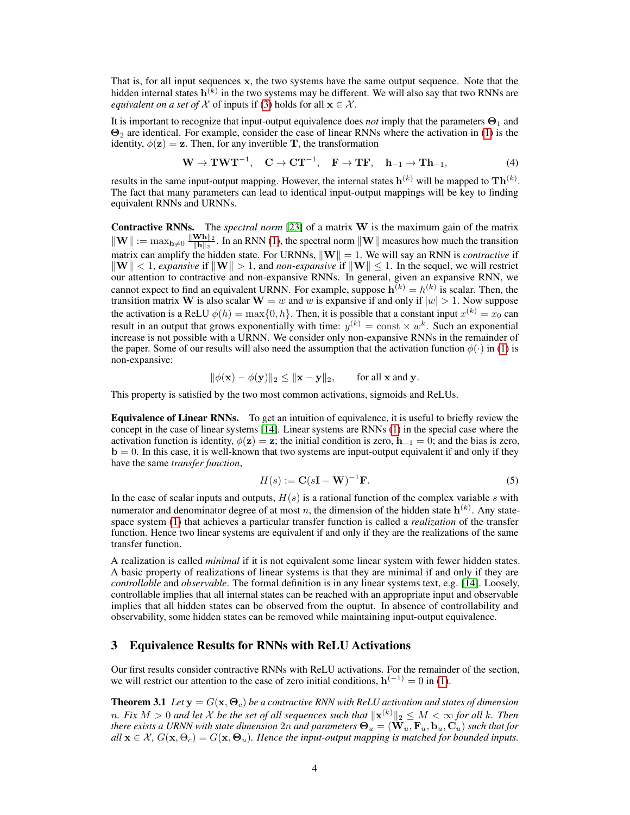That is, for all input sequences x, the two systems have the same output sequence. Note that the hidden internal states  $\mathbf{h}^{(k)}$  in the two systems may be different. We will also say that two RNNs are *equivalent on a set of*  $X$  of inputs if (3) holds for all  $\mathbf{x} \in \mathcal{X}$ .

It is important to recognize that input-output equivalence does *not* imply that the parameters  $\Theta_1$  and  $\Theta_2$  are identical. For example, consider the case of linear RNNs where the activation in (1) is the identity,  $\phi(\mathbf{z}) = \mathbf{z}$ . Then, for any invertible T, the transformation

$$
\mathbf{W} \to \mathbf{T} \mathbf{W} \mathbf{T}^{-1}, \quad \mathbf{C} \to \mathbf{C} \mathbf{T}^{-1}, \quad \mathbf{F} \to \mathbf{T} \mathbf{F}, \quad \mathbf{h}_{-1} \to \mathbf{T} \mathbf{h}_{-1}, \tag{4}
$$

results in the same input-output mapping. However, the internal states  $\mathbf{h}^{(k)}$  will be mapped to  $\mathbf{Th}^{(k)}$ . The fact that many parameters can lead to identical input-output mappings will be key to finding equivalent RNNs and URNNs.

Contractive RNNs. The *spectral norm* [23] of a matrix W is the maximum gain of the matrix  $\|\mathbf{W}\| := \max_{\mathbf{h}\neq 0} \frac{\|\mathbf{W}\mathbf{h}\|_2}{\|\mathbf{h}\|_2}$  $\frac{\mathbf{w}\mathbf{n}_{\parallel 2}}{\|\mathbf{h}\|_2}$ . In an RNN (1), the spectral norm  $\|\mathbf{W}\|$  measures how much the transition matrix can amplify the hidden state. For URNNs,  $\|\mathbf{W}\| = 1$ . We will say an RNN is *contractive* if  $\|\mathbf{W}\| < 1$ , *expansive* if  $\|\mathbf{W}\| > 1$ , and *non-expansive* if  $\|\mathbf{W}\| \leq 1$ . In the sequel, we will restrict our attention to contractive and non-expansive RNNs. In general, given an expansive RNN, we cannot expect to find an equivalent URNN. For example, suppose  $h^{(k)} = h^{(k)}$  is scalar. Then, the transition matrix W is also scalar  $W = w$  and w is expansive if and only if  $|w| > 1$ . Now suppose the activation is a ReLU  $\phi(h) = \max\{0, h\}$ . Then, it is possible that a constant input  $x^{(k)} = x_0$  can result in an output that grows exponentially with time:  $y^{(k)} = \text{const} \times w^k$ . Such an exponential increase is not possible with a URNN. We consider only non-expansive RNNs in the remainder of the paper. Some of our results will also need the assumption that the activation function  $\phi(\cdot)$  in (1) is non-expansive:

$$
\|\phi(\mathbf{x}) - \phi(\mathbf{y})\|_2 \le \|\mathbf{x} - \mathbf{y}\|_2, \quad \text{for all } \mathbf{x} \text{ and } \mathbf{y}.
$$

This property is satisfied by the two most common activations, sigmoids and ReLUs.

Equivalence of Linear RNNs. To get an intuition of equivalence, it is useful to briefly review the concept in the case of linear systems [14]. Linear systems are RNNs (1) in the special case where the activation function is identity,  $\phi(z) = z$ ; the initial condition is zero,  $h_{-1} = 0$ ; and the bias is zero, **. In this case, it is well-known that two systems are input-output equivalent if and only if they** have the same *transfer function*,

$$
H(s) := \mathbf{C}(s\mathbf{I} - \mathbf{W})^{-1}\mathbf{F}.
$$
 (5)

In the case of scalar inputs and outputs,  $H(s)$  is a rational function of the complex variable s with numerator and denominator degree of at most n, the dimension of the hidden state  $h^{(k)}$ . Any statespace system (1) that achieves a particular transfer function is called a *realization* of the transfer function. Hence two linear systems are equivalent if and only if they are the realizations of the same transfer function.

A realization is called *minimal* if it is not equivalent some linear system with fewer hidden states. A basic property of realizations of linear systems is that they are minimal if and only if they are *controllable* and *observable*. The formal definition is in any linear systems text, e.g. [14]. Loosely, controllable implies that all internal states can be reached with an appropriate input and observable implies that all hidden states can be observed from the ouptut. In absence of controllability and observability, some hidden states can be removed while maintaining input-output equivalence.

### 3 Equivalence Results for RNNs with ReLU Activations

Our first results consider contractive RNNs with ReLU activations. For the remainder of the section, we will restrict our attention to the case of zero initial conditions,  $h^{(-1)} = 0$  in (1).

**Theorem 3.1** Let  $y = G(x, \Theta_c)$  be a contractive RNN with ReLU activation and states of dimension n. Fix  $M>0$  and let  $\mathcal X$  be the set of all sequences such that  $\|\mathbf x^{(k)}\|_2\leq M<\infty$  for all  $k.$  Then *there exists a URNN with state dimension*  $2n$  *and parameters*  $\Theta_u = (\mathbf{W}_u, \mathbf{F}_u, \mathbf{b}_u, \mathbf{C}_u)$  *such that for*  $all \mathbf{x} \in \mathcal{X}, G(\mathbf{x}, \Theta_c) = G(\mathbf{x}, \Theta_u)$ . Hence the input-output mapping is matched for bounded inputs.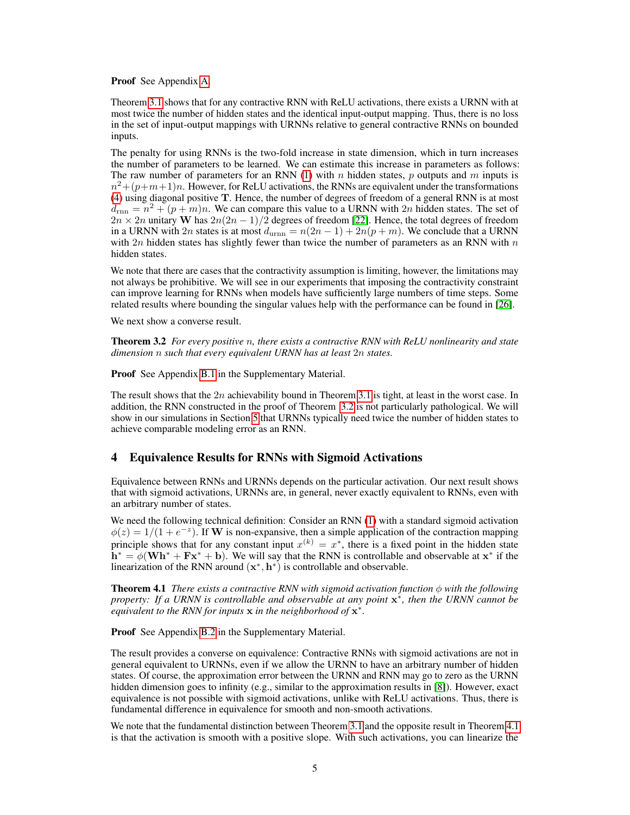Proof See Appendix A.

Theorem 3.1 shows that for any contractive RNN with ReLU activations, there exists a URNN with at most twice the number of hidden states and the identical input-output mapping. Thus, there is no loss in the set of input-output mappings with URNNs relative to general contractive RNNs on bounded inputs.

The penalty for using RNNs is the two-fold increase in state dimension, which in turn increases the number of parameters to be learned. We can estimate this increase in parameters as follows: The raw number of parameters for an RNN (1) with n hidden states, p outputs and m inputs is  $n^2 + (p+m+1)n$ . However, for ReLU activations, the RNNs are equivalent under the transformations (4) using diagonal positive T. Hence, the number of degrees of freedom of a general RNN is at most  $d_{\text{rnn}} = n^2 + (p+m)n$ . We can compare this value to a URNN with 2n hidden states. The set of  $2n \times 2n$  unitary W has  $2n(2n - 1)/2$  degrees of freedom [22]. Hence, the total degrees of freedom in a URNN with 2n states is at most  $d_{\text{urnn}} = n(2n - 1) + 2n(p + m)$ . We conclude that a URNN with  $2n$  hidden states has slightly fewer than twice the number of parameters as an RNN with  $n$ hidden states.

We note that there are cases that the contractivity assumption is limiting, however, the limitations may not always be prohibitive. We will see in our experiments that imposing the contractivity constraint can improve learning for RNNs when models have sufficiently large numbers of time steps. Some related results where bounding the singular values help with the performance can be found in [26].

We next show a converse result.

Theorem 3.2 *For every positive* n*, there exists a contractive RNN with ReLU nonlinearity and state dimension* n *such that every equivalent URNN has at least* 2n *states.*

Proof See Appendix B.1 in the Supplementary Material.

The result shows that the  $2n$  achievability bound in Theorem 3.1 is tight, at least in the worst case. In addition, the RNN constructed in the proof of Theorem 3.2 is not particularly pathological. We will show in our simulations in Section 5 that URNNs typically need twice the number of hidden states to achieve comparable modeling error as an RNN.

# 4 Equivalence Results for RNNs with Sigmoid Activations

Equivalence between RNNs and URNNs depends on the particular activation. Our next result shows that with sigmoid activations, URNNs are, in general, never exactly equivalent to RNNs, even with an arbitrary number of states.

We need the following technical definition: Consider an RNN (1) with a standard sigmoid activation  $\phi(z) = 1/(1 + e^{-z})$ . If W is non-expansive, then a simple application of the contraction mapping principle shows that for any constant input  $x^{(k)} = x^*$ , there is a fixed point in the hidden state  $\mathbf{h}^* = \phi(\mathbf{W}\mathbf{h}^* + \mathbf{F}\mathbf{x}^* + \mathbf{b})$ . We will say that the RNN is controllable and observable at  $\mathbf{x}^*$  if the linearization of the RNN around  $(x^*, h^*)$  is controllable and observable.

**Theorem 4.1** *There exists a contractive RNN with sigmoid activation function*  $\phi$  *with the following property: If a URNN is controllable and observable at any point*  $x^*$ , then the URNN cannot be *equivalent to the RNN for inputs* x *in the neighborhood of* x ∗ *.*

Proof See Appendix B.2 in the Supplementary Material.

The result provides a converse on equivalence: Contractive RNNs with sigmoid activations are not in general equivalent to URNNs, even if we allow the URNN to have an arbitrary number of hidden states. Of course, the approximation error between the URNN and RNN may go to zero as the URNN hidden dimension goes to infinity (e.g., similar to the approximation results in [8]). However, exact equivalence is not possible with sigmoid activations, unlike with ReLU activations. Thus, there is fundamental difference in equivalence for smooth and non-smooth activations.

We note that the fundamental distinction between Theorem 3.1 and the opposite result in Theorem 4.1 is that the activation is smooth with a positive slope. With such activations, you can linearize the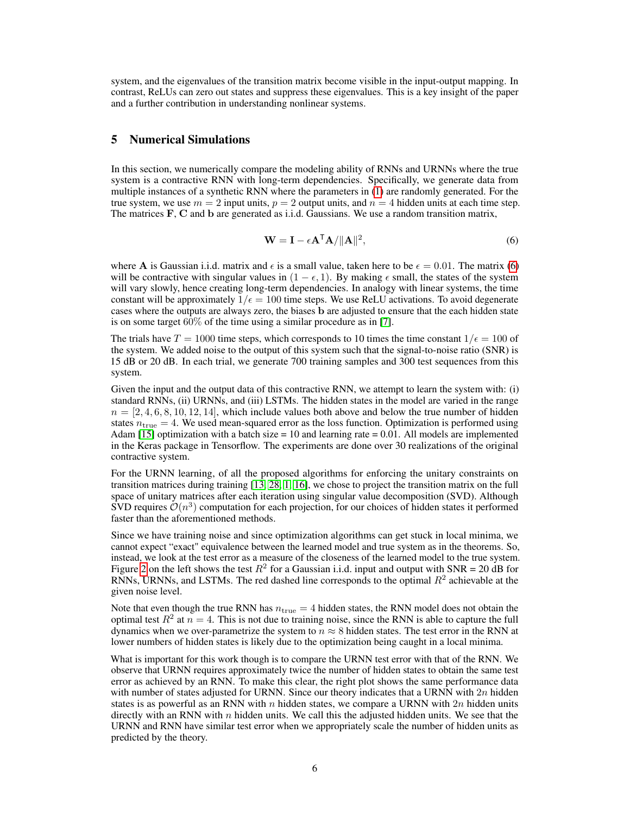system, and the eigenvalues of the transition matrix become visible in the input-output mapping. In contrast, ReLUs can zero out states and suppress these eigenvalues. This is a key insight of the paper and a further contribution in understanding nonlinear systems.

### 5 Numerical Simulations

In this section, we numerically compare the modeling ability of RNNs and URNNs where the true system is a contractive RNN with long-term dependencies. Specifically, we generate data from multiple instances of a synthetic RNN where the parameters in  $(1)$  are randomly generated. For the true system, we use  $m = 2$  input units,  $p = 2$  output units, and  $n = 4$  hidden units at each time step. The matrices F, C and b are generated as i.i.d. Gaussians. We use a random transition matrix,

$$
\mathbf{W} = \mathbf{I} - \epsilon \mathbf{A}^{\mathsf{T}} \mathbf{A} / ||\mathbf{A}||^2,
$$
\n(6)

where A is Gaussian i.i.d. matrix and  $\epsilon$  is a small value, taken here to be  $\epsilon = 0.01$ . The matrix (6) will be contractive with singular values in  $(1 - \epsilon, 1)$ . By making  $\epsilon$  small, the states of the system will vary slowly, hence creating long-term dependencies. In analogy with linear systems, the time constant will be approximately  $1/\epsilon = 100$  time steps. We use ReLU activations. To avoid degenerate cases where the outputs are always zero, the biases b are adjusted to ensure that the each hidden state is on some target 60% of the time using a similar procedure as in [7].

The trials have  $T = 1000$  time steps, which corresponds to 10 times the time constant  $1/\epsilon = 100$  of the system. We added noise to the output of this system such that the signal-to-noise ratio (SNR) is 15 dB or 20 dB. In each trial, we generate 700 training samples and 300 test sequences from this system.

Given the input and the output data of this contractive RNN, we attempt to learn the system with: (i) standard RNNs, (ii) URNNs, and (iii) LSTMs. The hidden states in the model are varied in the range  $n = [2, 4, 6, 8, 10, 12, 14]$ , which include values both above and below the true number of hidden states  $n_{\text{true}} = 4$ . We used mean-squared error as the loss function. Optimization is performed using Adam [15] optimization with a batch size  $= 10$  and learning rate  $= 0.01$ . All models are implemented in the Keras package in Tensorflow. The experiments are done over 30 realizations of the original contractive system.

For the URNN learning, of all the proposed algorithms for enforcing the unitary constraints on transition matrices during training [13, 28, 1, 16], we chose to project the transition matrix on the full space of unitary matrices after each iteration using singular value decomposition (SVD). Although SVD requires  $\mathcal{O}(n^3)$  computation for each projection, for our choices of hidden states it performed faster than the aforementioned methods.

Since we have training noise and since optimization algorithms can get stuck in local minima, we cannot expect "exact" equivalence between the learned model and true system as in the theorems. So, instead, we look at the test error as a measure of the closeness of the learned model to the true system. Figure 2 on the left shows the test  $R^2$  for a Gaussian i.i.d. input and output with SNR = 20 dB for RNNs, URNNs, and LSTMs. The red dashed line corresponds to the optimal  $R^2$  achievable at the given noise level.

Note that even though the true RNN has  $n_{true} = 4$  hidden states, the RNN model does not obtain the optimal test  $R^2$  at  $n = 4$ . This is not due to training noise, since the RNN is able to capture the full dynamics when we over-parametrize the system to  $n \approx 8$  hidden states. The test error in the RNN at lower numbers of hidden states is likely due to the optimization being caught in a local minima.

What is important for this work though is to compare the URNN test error with that of the RNN. We observe that URNN requires approximately twice the number of hidden states to obtain the same test error as achieved by an RNN. To make this clear, the right plot shows the same performance data with number of states adjusted for URNN. Since our theory indicates that a URNN with  $2n$  hidden states is as powerful as an RNN with n hidden states, we compare a URNN with  $2n$  hidden units directly with an RNN with  $n$  hidden units. We call this the adjusted hidden units. We see that the URNN and RNN have similar test error when we appropriately scale the number of hidden units as predicted by the theory.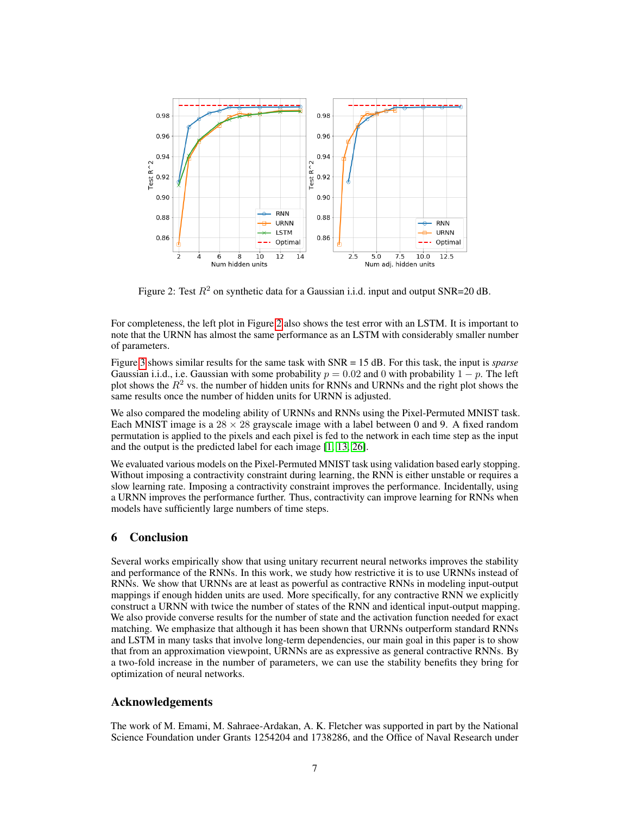

Figure 2: Test  $R^2$  on synthetic data for a Gaussian i.i.d. input and output SNR=20 dB.

For completeness, the left plot in Figure 2 also shows the test error with an LSTM. It is important to note that the URNN has almost the same performance as an LSTM with considerably smaller number of parameters.

Figure 3 shows similar results for the same task with SNR = 15 dB. For this task, the input is *sparse* Gaussian i.i.d., i.e. Gaussian with some probability  $p = 0.02$  and 0 with probability  $1 - p$ . The left plot shows the  $R^2$  vs. the number of hidden units for RNNs and URNNs and the right plot shows the same results once the number of hidden units for URNN is adjusted.

We also compared the modeling ability of URNNs and RNNs using the Pixel-Permuted MNIST task. Each MNIST image is a  $28 \times 28$  grayscale image with a label between 0 and 9. A fixed random permutation is applied to the pixels and each pixel is fed to the network in each time step as the input and the output is the predicted label for each image [1, 13, 26].

We evaluated various models on the Pixel-Permuted MNIST task using validation based early stopping. Without imposing a contractivity constraint during learning, the RNN is either unstable or requires a slow learning rate. Imposing a contractivity constraint improves the performance. Incidentally, using a URNN improves the performance further. Thus, contractivity can improve learning for RNNs when models have sufficiently large numbers of time steps.

## 6 Conclusion

Several works empirically show that using unitary recurrent neural networks improves the stability and performance of the RNNs. In this work, we study how restrictive it is to use URNNs instead of RNNs. We show that URNNs are at least as powerful as contractive RNNs in modeling input-output mappings if enough hidden units are used. More specifically, for any contractive RNN we explicitly construct a URNN with twice the number of states of the RNN and identical input-output mapping. We also provide converse results for the number of state and the activation function needed for exact matching. We emphasize that although it has been shown that URNNs outperform standard RNNs and LSTM in many tasks that involve long-term dependencies, our main goal in this paper is to show that from an approximation viewpoint, URNNs are as expressive as general contractive RNNs. By a two-fold increase in the number of parameters, we can use the stability benefits they bring for optimization of neural networks.

# Acknowledgements

The work of M. Emami, M. Sahraee-Ardakan, A. K. Fletcher was supported in part by the National Science Foundation under Grants 1254204 and 1738286, and the Office of Naval Research under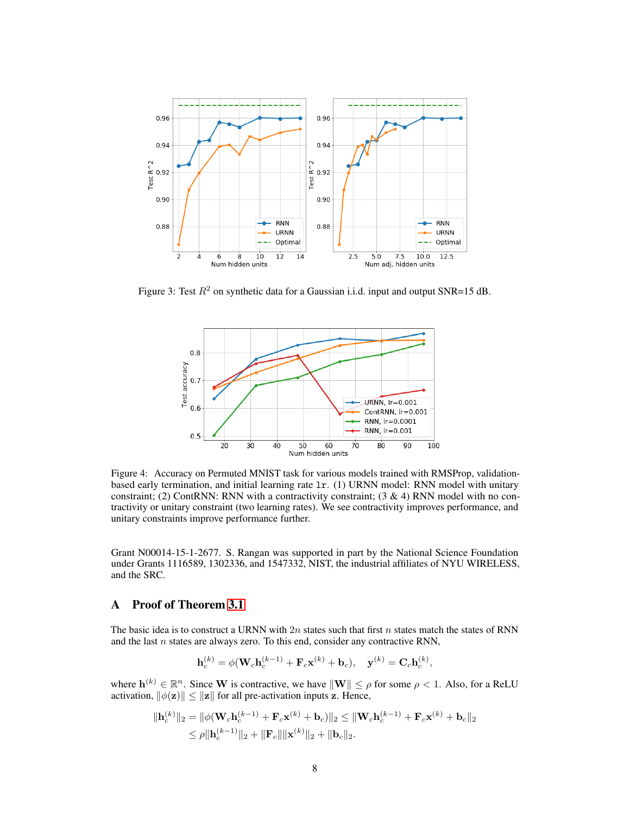

Figure 3: Test  $R^2$  on synthetic data for a Gaussian i.i.d. input and output SNR=15 dB.



Figure 4: Accuracy on Permuted MNIST task for various models trained with RMSProp, validationbased early termination, and initial learning rate lr. (1) URNN model: RNN model with unitary constraint; (2) ContRNN: RNN with a contractivity constraint; (3 & 4) RNN model with no contractivity or unitary constraint (two learning rates). We see contractivity improves performance, and unitary constraints improve performance further.

Grant N00014-15-1-2677. S. Rangan was supported in part by the National Science Foundation under Grants 1116589, 1302336, and 1547332, NIST, the industrial affiliates of NYU WIRELESS, and the SRC.

## A Proof of Theorem 3.1

The basic idea is to construct a URNN with 2n states such that first n states match the states of RNN and the last  $n$  states are always zero. To this end, consider any contractive RNN,

$$
\mathbf{h}_c^{(k)} = \phi(\mathbf{W}_c \mathbf{h}_c^{(k-1)} + \mathbf{F}_c \mathbf{x}^{(k)} + \mathbf{b}_c), \quad \mathbf{y}^{(k)} = \mathbf{C}_c \mathbf{h}_c^{(k)},
$$

where  $\mathbf{h}^{(k)} \in \mathbb{R}^n$ . Since W is contractive, we have  $\|\mathbf{W}\| \leq \rho$  for some  $\rho < 1$ . Also, for a ReLU activation,  $\|\phi(\mathbf{z})\| \leq \|\mathbf{z}\|$  for all pre-activation inputs z. Hence,

$$
\|\mathbf{h}_c^{(k)}\|_2 = \|\phi(\mathbf{W}_c \mathbf{h}_c^{(k-1)} + \mathbf{F}_c \mathbf{x}^{(k)} + \mathbf{b}_c)\|_2 \leq \|\mathbf{W}_c \mathbf{h}_c^{(k-1)} + \mathbf{F}_c \mathbf{x}^{(k)} + \mathbf{b}_c\|_2
$$
  
\$\leq \rho \|\mathbf{h}\_c^{(k-1)}\|\_2 + \|\mathbf{F}\_c\| \|\mathbf{x}^{(k)}\|\_2 + \|\mathbf{b}\_c\|\_2\$.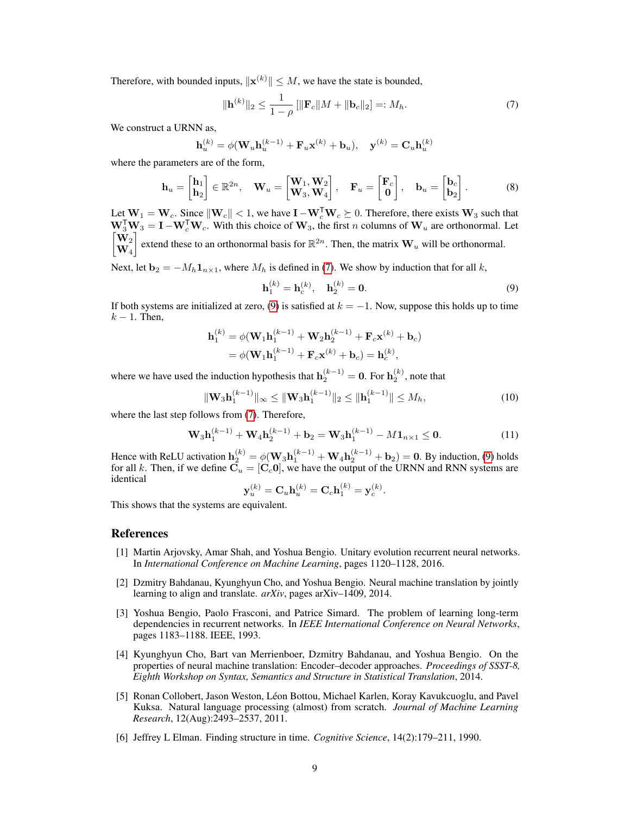Therefore, with bounded inputs,  $\|\mathbf{x}^{(k)}\| \leq M$ , we have the state is bounded,

$$
\|\mathbf{h}^{(k)}\|_{2} \le \frac{1}{1-\rho} \left[ \|\mathbf{F}_c\|M + \|\mathbf{b}_c\|_{2} \right] =: M_h.
$$
 (7)

We construct a URNN as,

$$
\mathbf{h}_u^{(k)} = \phi(\mathbf{W}_u \mathbf{h}_u^{(k-1)} + \mathbf{F}_u \mathbf{x}^{(k)} + \mathbf{b}_u), \quad \mathbf{y}^{(k)} = \mathbf{C}_u \mathbf{h}_u^{(k)}
$$

where the parameters are of the form,

$$
\mathbf{h}_u = \begin{bmatrix} \mathbf{h}_1 \\ \mathbf{h}_2 \end{bmatrix} \in \mathbb{R}^{2n}, \quad \mathbf{W}_u = \begin{bmatrix} \mathbf{W}_1, \mathbf{W}_2 \\ \mathbf{W}_3, \mathbf{W}_4 \end{bmatrix}, \quad \mathbf{F}_u = \begin{bmatrix} \mathbf{F}_c \\ \mathbf{0} \end{bmatrix}, \quad \mathbf{b}_u = \begin{bmatrix} \mathbf{b}_c \\ \mathbf{b}_2 \end{bmatrix}.
$$
 (8)

Let  $W_1 = W_c$ . Since  $\|W_c\| < 1$ , we have  $I - W_c^{\mathsf{T}} W_c \succeq 0$ . Therefore, there exists  $W_3$  such that  $\mathbf{W}_3^T \mathbf{W}_3 = \mathbf{I} - \mathbf{W}_c^T \mathbf{W}_c$ . With this choice of  $\mathbf{W}_3$ , the first *n* columns of  $\mathbf{W}_u$  are orthonormal. Let  $\sqrt{\mathbf{W}_2}$  $\mathbf{W}_4$ extend these to an orthonormal basis for  $\mathbb{R}^{2n}$ . Then, the matrix  $\mathbf{W}_{u}$  will be orthonormal.

Next, let  $\mathbf{b}_2 = -M_h \mathbf{1}_{n \times 1}$ , where  $M_h$  is defined in (7). We show by induction that for all k,

$$
\mathbf{h}_1^{(k)} = \mathbf{h}_c^{(k)}, \quad \mathbf{h}_2^{(k)} = \mathbf{0}.\tag{9}
$$

If both systems are initialized at zero, (9) is satisfied at  $k = -1$ . Now, suppose this holds up to time  $k - 1$ . Then,

$$
\mathbf{h}_{1}^{(k)} = \phi(\mathbf{W}_{1}\mathbf{h}_{1}^{(k-1)} + \mathbf{W}_{2}\mathbf{h}_{2}^{(k-1)} + \mathbf{F}_{c}\mathbf{x}^{(k)} + \mathbf{b}_{c})
$$
  
=  $\phi(\mathbf{W}_{1}\mathbf{h}_{1}^{(k-1)} + \mathbf{F}_{c}\mathbf{x}^{(k)} + \mathbf{b}_{c}) = \mathbf{h}_{c}^{(k)},$ 

where we have used the induction hypothesis that  $h_2^{(k-1)} = 0$ . For  $h_2^{(k)}$ , note that

$$
\|\mathbf{W}_{3}\mathbf{h}_{1}^{(k-1)}\|_{\infty} \leq \|\mathbf{W}_{3}\mathbf{h}_{1}^{(k-1)}\|_{2} \leq \|\mathbf{h}_{1}^{(k-1)}\| \leq M_{h},\tag{10}
$$

where the last step follows from (7). Therefore,

$$
\mathbf{W}_3 \mathbf{h}_1^{(k-1)} + \mathbf{W}_4 \mathbf{h}_2^{(k-1)} + \mathbf{b}_2 = \mathbf{W}_3 \mathbf{h}_1^{(k-1)} - M \mathbf{1}_{n \times 1} \le \mathbf{0}.
$$
 (11)

Hence with ReLU activation  $h_2^{(k)} = \phi(W_3 h_1^{(k-1)} + W_4 h_2^{(k-1)} + b_2) = 0$ . By induction, (9) holds for all k. Then, if we define  $\mathbf{C}_u = [\mathbf{C}_c \mathbf{0}]$ , we have the output of the URNN and RNN systems are identical

$$
\mathbf{y}_u^{(k)} = \mathbf{C}_u \mathbf{h}_u^{(k)} = \mathbf{C}_c \mathbf{h}_1^{(k)} = \mathbf{y}_c^{(k)}.
$$

This shows that the systems are equivalent.

#### **References**

- [1] Martin Arjovsky, Amar Shah, and Yoshua Bengio. Unitary evolution recurrent neural networks. In *International Conference on Machine Learning*, pages 1120–1128, 2016.
- [2] Dzmitry Bahdanau, Kyunghyun Cho, and Yoshua Bengio. Neural machine translation by jointly learning to align and translate. *arXiv*, pages arXiv–1409, 2014.
- [3] Yoshua Bengio, Paolo Frasconi, and Patrice Simard. The problem of learning long-term dependencies in recurrent networks. In *IEEE International Conference on Neural Networks*, pages 1183–1188. IEEE, 1993.
- [4] Kyunghyun Cho, Bart van Merrienboer, Dzmitry Bahdanau, and Yoshua Bengio. On the properties of neural machine translation: Encoder–decoder approaches. *Proceedings of SSST-8, Eighth Workshop on Syntax, Semantics and Structure in Statistical Translation*, 2014.
- [5] Ronan Collobert, Jason Weston, Léon Bottou, Michael Karlen, Koray Kavukcuoglu, and Pavel Kuksa. Natural language processing (almost) from scratch. *Journal of Machine Learning Research*, 12(Aug):2493–2537, 2011.
- [6] Jeffrey L Elman. Finding structure in time. *Cognitive Science*, 14(2):179–211, 1990.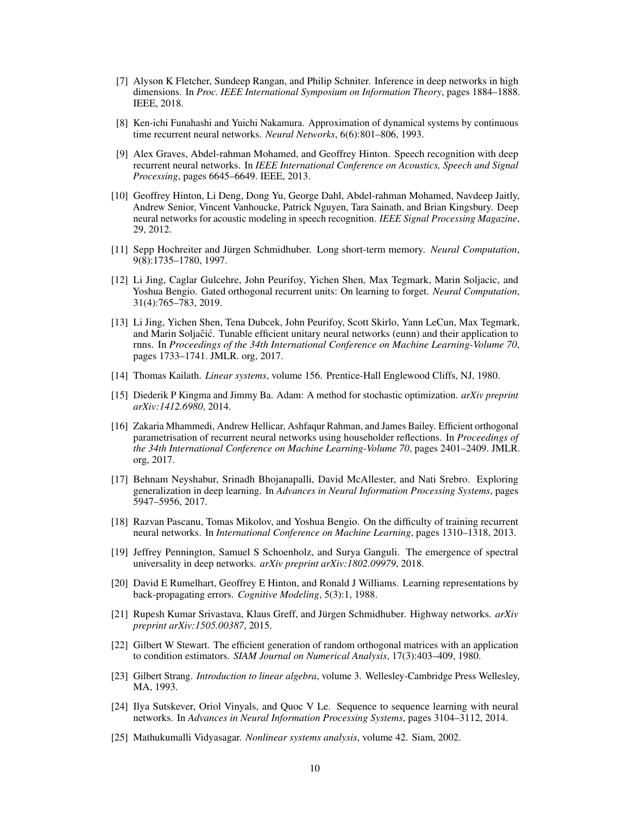- [7] Alyson K Fletcher, Sundeep Rangan, and Philip Schniter. Inference in deep networks in high dimensions. In *Proc. IEEE International Symposium on Information Theory*, pages 1884–1888. IEEE, 2018.
- [8] Ken-ichi Funahashi and Yuichi Nakamura. Approximation of dynamical systems by continuous time recurrent neural networks. *Neural Networks*, 6(6):801–806, 1993.
- [9] Alex Graves, Abdel-rahman Mohamed, and Geoffrey Hinton. Speech recognition with deep recurrent neural networks. In *IEEE International Conference on Acoustics, Speech and Signal Processing*, pages 6645–6649. IEEE, 2013.
- [10] Geoffrey Hinton, Li Deng, Dong Yu, George Dahl, Abdel-rahman Mohamed, Navdeep Jaitly, Andrew Senior, Vincent Vanhoucke, Patrick Nguyen, Tara Sainath, and Brian Kingsbury. Deep neural networks for acoustic modeling in speech recognition. *IEEE Signal Processing Magazine*, 29, 2012.
- [11] Sepp Hochreiter and Jürgen Schmidhuber. Long short-term memory. *Neural Computation*, 9(8):1735–1780, 1997.
- [12] Li Jing, Caglar Gulcehre, John Peurifoy, Yichen Shen, Max Tegmark, Marin Soljacic, and Yoshua Bengio. Gated orthogonal recurrent units: On learning to forget. *Neural Computation*, 31(4):765–783, 2019.
- [13] Li Jing, Yichen Shen, Tena Dubcek, John Peurifoy, Scott Skirlo, Yann LeCun, Max Tegmark, and Marin Soljačić. Tunable efficient unitary neural networks (eunn) and their application to rnns. In *Proceedings of the 34th International Conference on Machine Learning-Volume 70*, pages 1733–1741. JMLR. org, 2017.
- [14] Thomas Kailath. *Linear systems*, volume 156. Prentice-Hall Englewood Cliffs, NJ, 1980.
- [15] Diederik P Kingma and Jimmy Ba. Adam: A method for stochastic optimization. *arXiv preprint arXiv:1412.6980*, 2014.
- [16] Zakaria Mhammedi, Andrew Hellicar, Ashfaqur Rahman, and James Bailey. Efficient orthogonal parametrisation of recurrent neural networks using householder reflections. In *Proceedings of the 34th International Conference on Machine Learning-Volume 70*, pages 2401–2409. JMLR. org, 2017.
- [17] Behnam Neyshabur, Srinadh Bhojanapalli, David McAllester, and Nati Srebro. Exploring generalization in deep learning. In *Advances in Neural Information Processing Systems*, pages 5947–5956, 2017.
- [18] Razvan Pascanu, Tomas Mikolov, and Yoshua Bengio. On the difficulty of training recurrent neural networks. In *International Conference on Machine Learning*, pages 1310–1318, 2013.
- [19] Jeffrey Pennington, Samuel S Schoenholz, and Surya Ganguli. The emergence of spectral universality in deep networks. *arXiv preprint arXiv:1802.09979*, 2018.
- [20] David E Rumelhart, Geoffrey E Hinton, and Ronald J Williams. Learning representations by back-propagating errors. *Cognitive Modeling*, 5(3):1, 1988.
- [21] Rupesh Kumar Srivastava, Klaus Greff, and Jürgen Schmidhuber. Highway networks. *arXiv preprint arXiv:1505.00387*, 2015.
- [22] Gilbert W Stewart. The efficient generation of random orthogonal matrices with an application to condition estimators. *SIAM Journal on Numerical Analysis*, 17(3):403–409, 1980.
- [23] Gilbert Strang. *Introduction to linear algebra*, volume 3. Wellesley-Cambridge Press Wellesley, MA, 1993.
- [24] Ilya Sutskever, Oriol Vinyals, and Quoc V Le. Sequence to sequence learning with neural networks. In *Advances in Neural Information Processing Systems*, pages 3104–3112, 2014.
- [25] Mathukumalli Vidyasagar. *Nonlinear systems analysis*, volume 42. Siam, 2002.